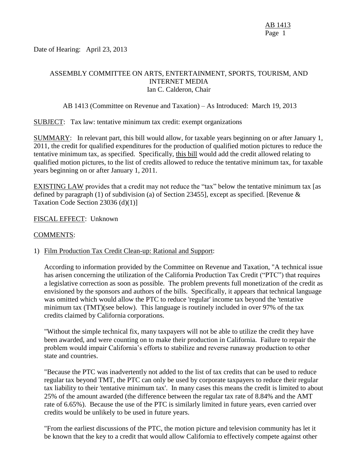Date of Hearing: April 23, 2013

## ASSEMBLY COMMITTEE ON ARTS, ENTERTAINMENT, SPORTS, TOURISM, AND INTERNET MEDIA Ian C. Calderon, Chair

AB 1413 (Committee on Revenue and Taxation) – As Introduced: March 19, 2013

SUBJECT: Tax law: tentative minimum tax credit: exempt organizations

SUMMARY: In relevant part, this bill would allow, for taxable years beginning on or after January 1, 2011, the credit for qualified expenditures for the production of qualified motion pictures to reduce the tentative minimum tax, as specified. Specifically, this bill would add the credit allowed relating to qualified motion pictures, to the list of credits allowed to reduce the tentative minimum tax, for taxable years beginning on or after January 1, 2011.

EXISTING LAW provides that a credit may not reduce the "tax" below the tentative minimum tax [as defined by paragraph (1) of subdivision (a) of Section 23455], except as specified. [Revenue & Taxation Code Section 23036 (d)(1)]

FISCAL EFFECT: Unknown

#### COMMENTS:

#### 1) Film Production Tax Credit Clean-up: Rational and Support:

According to information provided by the Committee on Revenue and Taxation, "A technical issue has arisen concerning the utilization of the California Production Tax Credit ("PTC") that requires a legislative correction as soon as possible. The problem prevents full monetization of the credit as envisioned by the sponsors and authors of the bills. Specifically, it appears that technical language was omitted which would allow the PTC to reduce 'regular' income tax beyond the 'tentative minimum tax (TMT)(see below). This language is routinely included in over 97% of the tax credits claimed by California corporations.

"Without the simple technical fix, many taxpayers will not be able to utilize the credit they have been awarded, and were counting on to make their production in California. Failure to repair the problem would impair California's efforts to stabilize and reverse runaway production to other state and countries.

"Because the PTC was inadvertently not added to the list of tax credits that can be used to reduce regular tax beyond TMT, the PTC can only be used by corporate taxpayers to reduce their regular tax liability to their 'tentative minimum tax'. In many cases this means the credit is limited to about 25% of the amount awarded (the difference between the regular tax rate of 8.84% and the AMT rate of 6.65%). Because the use of the PTC is similarly limited in future years, even carried over credits would be unlikely to be used in future years.

"From the earliest discussions of the PTC, the motion picture and television community has let it be known that the key to a credit that would allow California to effectively compete against other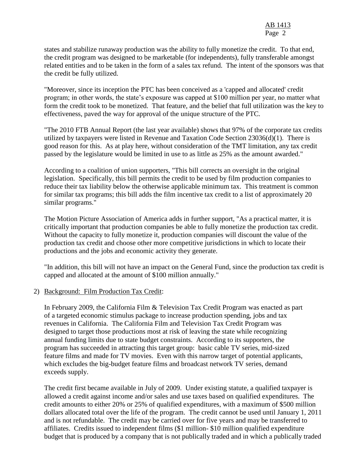states and stabilize runaway production was the ability to fully monetize the credit. To that end, the credit program was designed to be marketable (for independents), fully transferable amongst related entities and to be taken in the form of a sales tax refund. The intent of the sponsors was that the credit be fully utilized.

"Moreover, since its inception the PTC has been conceived as a 'capped and allocated' credit program; in other words, the state's exposure was capped at \$100 million per year, no matter what form the credit took to be monetized. That feature, and the belief that full utilization was the key to effectiveness, paved the way for approval of the unique structure of the PTC.

"The 2010 FTB Annual Report (the last year available) shows that 97% of the corporate tax credits utilized by taxpayers were listed in Revenue and Taxation Code Section 23036(d)(1). There is good reason for this. As at play here, without consideration of the TMT limitation, any tax credit passed by the legislature would be limited in use to as little as 25% as the amount awarded."

According to a coalition of union supporters, "This bill corrects an oversight in the original legislation. Specifically, this bill permits the credit to be used by film production companies to reduce their tax liability below the otherwise applicable minimum tax. This treatment is common for similar tax programs; this bill adds the film incentive tax credit to a list of approximately 20 similar programs."

The Motion Picture Association of America adds in further support, "As a practical matter, it is critically important that production companies be able to fully monetize the production tax credit. Without the capacity to fully monetize it, production companies will discount the value of the production tax credit and choose other more competitive jurisdictions in which to locate their productions and the jobs and economic activity they generate.

"In addition, this bill will not have an impact on the General Fund, since the production tax credit is capped and allocated at the amount of \$100 million annually."

## 2) Background: Film Production Tax Credit:

In February 2009, the California Film & Television Tax Credit Program was enacted as part of a targeted economic stimulus package to increase production spending, jobs and tax revenues in California. The California Film and Television Tax Credit Program was designed to target those productions most at risk of leaving the state while recognizing annual funding limits due to state budget constraints. According to its supporters, the program has succeeded in attracting this target group: basic cable TV series, mid-sized feature films and made for TV movies. Even with this narrow target of potential applicants, which excludes the big-budget feature films and broadcast network TV series, demand exceeds supply.

The credit first became available in July of 2009. Under existing statute, a qualified taxpayer is allowed a credit against income and/or sales and use taxes based on qualified expenditures. The credit amounts to either 20% or 25% of qualified expenditures, with a maximum of \$500 million dollars allocated total over the life of the program. The credit cannot be used until January 1, 2011 and is not refundable. The credit may be carried over for five years and may be transferred to affiliates. Credits issued to independent films (\$1 million- \$10 million qualified expenditure budget that is produced by a company that is not publically traded and in which a publically traded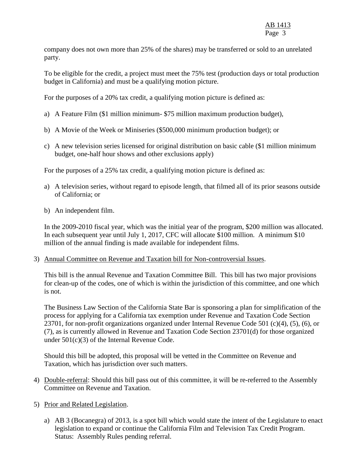# AB 1413 Page 3

company does not own more than 25% of the shares) may be transferred or sold to an unrelated party.

To be eligible for the credit, a project must meet the 75% test (production days or total production budget in California) and must be a qualifying motion picture.

For the purposes of a 20% tax credit, a qualifying motion picture is defined as:

- a) A Feature Film (\$1 million minimum- \$75 million maximum production budget),
- b) A Movie of the Week or Miniseries (\$500,000 minimum production budget); or
- c) A new television series licensed for original distribution on basic cable (\$1 million minimum budget, one-half hour shows and other exclusions apply)

For the purposes of a 25% tax credit, a qualifying motion picture is defined as:

- a) A television series, without regard to episode length, that filmed all of its prior seasons outside of California; or
- b) An independent film.

In the 2009-2010 fiscal year, which was the initial year of the program, \$200 million was allocated. In each subsequent year until July 1, 2017, CFC will allocate \$100 million. A minimum \$10 million of the annual finding is made available for independent films.

3) Annual Committee on Revenue and Taxation bill for Non-controversial Issues.

This bill is the annual Revenue and Taxation Committee Bill. This bill has two major provisions for clean-up of the codes, one of which is within the jurisdiction of this committee, and one which is not.

The Business Law Section of the California State Bar is sponsoring a plan for simplification of the process for applying for a California tax exemption under Revenue and Taxation Code Section 23701, for non-profit organizations organized under Internal Revenue Code 501 (c)(4), (5), (6), or (7), as is currently allowed in Revenue and Taxation Code Section 23701(d) for those organized under 501(c)(3) of the Internal Revenue Code.

Should this bill be adopted, this proposal will be vetted in the Committee on Revenue and Taxation, which has jurisdiction over such matters.

- 4) Double-referral: Should this bill pass out of this committee, it will be re-referred to the Assembly Committee on Revenue and Taxation.
- 5) Prior and Related Legislation.
	- a) AB 3 (Bocanegra) of 2013, is a spot bill which would state the intent of the Legislature to enact legislation to expand or continue the California Film and Television Tax Credit Program. Status: Assembly Rules pending referral.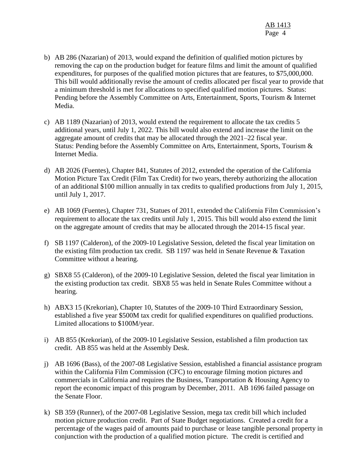- b) AB 286 (Nazarian) of 2013, would expand the definition of qualified motion pictures by removing the cap on the production budget for feature films and limit the amount of qualified expenditures, for purposes of the qualified motion pictures that are features, to \$75,000,000. This bill would additionally revise the amount of credits allocated per fiscal year to provide that a minimum threshold is met for allocations to specified qualified motion pictures. Status: Pending before the Assembly Committee on Arts, Entertainment, Sports, Tourism & Internet Media.
- c) AB 1189 (Nazarian) of 2013, would extend the requirement to allocate the tax credits 5 additional years, until July 1, 2022. This bill would also extend and increase the limit on the aggregate amount of credits that may be allocated through the 2021–22 fiscal year. Status: Pending before the Assembly Committee on Arts, Entertainment, Sports, Tourism & Internet Media.
- d) AB 2026 (Fuentes), Chapter 841, Statutes of 2012, extended the operation of the California Motion Picture Tax Credit (Film Tax Credit) for two years, thereby authorizing the allocation of an additional \$100 million annually in tax credits to qualified productions from July 1, 2015, until July 1, 2017.
- e) AB 1069 (Fuentes), Chapter 731, Statues of 2011, extended the California Film Commission's requirement to allocate the tax credits until July 1, 2015. This bill would also extend the limit on the aggregate amount of credits that may be allocated through the 2014-15 fiscal year.
- f) SB 1197 (Calderon), of the 2009-10 Legislative Session, deleted the fiscal year limitation on the existing film production tax credit. SB 1197 was held in Senate Revenue & Taxation Committee without a hearing.
- g) SBX8 55 (Calderon), of the 2009-10 Legislative Session, deleted the fiscal year limitation in the existing production tax credit. SBX8 55 was held in Senate Rules Committee without a hearing.
- h) ABX3 15 (Krekorian), Chapter 10, Statutes of the 2009-10 Third Extraordinary Session, established a five year \$500M tax credit for qualified expenditures on qualified productions. Limited allocations to \$100M/year.
- i) AB 855 (Krekorian), of the 2009-10 Legislative Session, established a film production tax credit. AB 855 was held at the Assembly Desk.
- j) AB 1696 (Bass), of the 2007-08 Legislative Session, established a financial assistance program within the California Film Commission (CFC) to encourage filming motion pictures and commercials in California and requires the Business, Transportation & Housing Agency to report the economic impact of this program by December, 2011. AB 1696 failed passage on the Senate Floor.
- k) SB 359 (Runner), of the 2007-08 Legislative Session, mega tax credit bill which included motion picture production credit. Part of State Budget negotiations. Created a credit for a percentage of the wages paid of amounts paid to purchase or lease tangible personal property in conjunction with the production of a qualified motion picture. The credit is certified and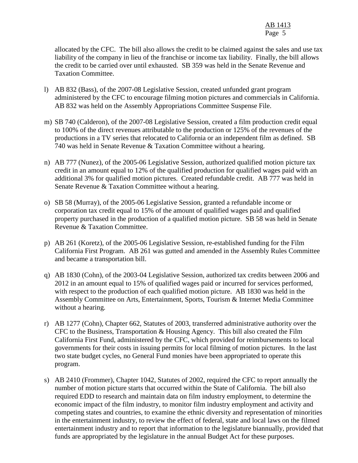allocated by the CFC. The bill also allows the credit to be claimed against the sales and use tax liability of the company in lieu of the franchise or income tax liability. Finally, the bill allows the credit to be carried over until exhausted. SB 359 was held in the Senate Revenue and Taxation Committee.

- l) AB 832 (Bass), of the 2007-08 Legislative Session, created unfunded grant program administered by the CFC to encourage filming motion pictures and commercials in California. AB 832 was held on the Assembly Appropriations Committee Suspense File.
- m) SB 740 (Calderon), of the 2007-08 Legislative Session, created a film production credit equal to 100% of the direct revenues attributable to the production or 125% of the revenues of the productions in a TV series that relocated to California or an independent film as defined. SB 740 was held in Senate Revenue & Taxation Committee without a hearing.
- n) AB 777 (Nunez), of the 2005-06 Legislative Session, authorized qualified motion picture tax credit in an amount equal to 12% of the qualified production for qualified wages paid with an additional 3% for qualified motion pictures. Created refundable credit. AB 777 was held in Senate Revenue & Taxation Committee without a hearing.
- o) SB 58 (Murray), of the 2005-06 Legislative Session, granted a refundable income or corporation tax credit equal to 15% of the amount of qualified wages paid and qualified property purchased in the production of a qualified motion picture. SB 58 was held in Senate Revenue & Taxation Committee.
- p) AB 261 (Koretz), of the 2005-06 Legislative Session, re-established funding for the Film California First Program. AB 261 was gutted and amended in the Assembly Rules Committee and became a transportation bill.
- q) AB 1830 (Cohn), of the 2003-04 Legislative Session, authorized tax credits between 2006 and 2012 in an amount equal to 15% of qualified wages paid or incurred for services performed, with respect to the production of each qualified motion picture. AB 1830 was held in the Assembly Committee on Arts, Entertainment, Sports, Tourism & Internet Media Committee without a hearing.
- r) AB 1277 (Cohn), Chapter 662, Statutes of 2003, transferred administrative authority over the CFC to the Business, Transportation & Housing Agency. This bill also created the Film California First Fund, administered by the CFC, which provided for reimbursements to local governments for their costs in issuing permits for local filming of motion pictures. In the last two state budget cycles, no General Fund monies have been appropriated to operate this program.
- s) AB 2410 (Frommer), Chapter 1042, Statutes of 2002, required the CFC to report annually the number of motion picture starts that occurred within the State of California. The bill also required EDD to research and maintain data on film industry employment, to determine the economic impact of the film industry, to monitor film industry employment and activity and competing states and countries, to examine the ethnic diversity and representation of minorities in the entertainment industry, to review the effect of federal, state and local laws on the filmed entertainment industry and to report that information to the legislature biannually, provided that funds are appropriated by the legislature in the annual Budget Act for these purposes.